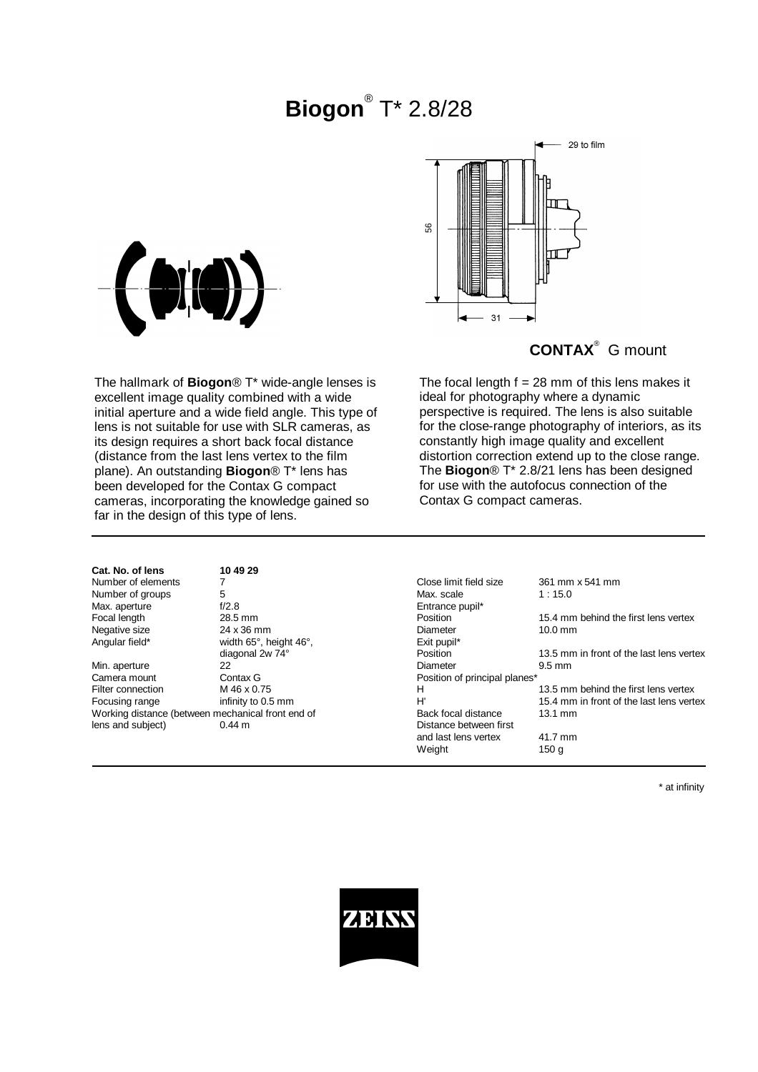# **Biogon**® T\* 2.8/28





## **CONTAX**® G mount

The focal length  $f = 28$  mm of this lens makes it

perspective is required. The lens is also suitable for the close-range photography of interiors, as its constantly high image quality and excellent distortion correction extend up to the close range. The **Biogon**® T\* 2.8/21 lens has been designed for use with the autofocus connection of the

ideal for photography where a dynamic

Contax G compact cameras.

The hallmark of **Biogon**® T\* wide-angle lenses is excellent image quality combined with a wide initial aperture and a wide field angle. This type of lens is not suitable for use with SLR cameras, as its design requires a short back focal distance (distance from the last lens vertex to the film plane). An outstanding **Biogon**® T\* lens has been developed for the Contax G compact cameras, incorporating the knowledge gained so far in the design of this type of lens.

**Cat. No. of lens 10 49 29** Number of groups 5<br>
Max. aperture 6/2.8

Camera mount Contax G Contax G Position of principal planes\*<br>Filter connection M 46 x 0.75 M H lens and subject) 0.44 m Distance between first

Max. aperture f/2.8 and f/2.8 entrance pupil\*<br>
Focal length focal length and the case of the case of the case of the case of the case of the case of the cas<br>
Fosition and the case of the case of the case of the case of the Angular field\* width 65°, height 46°, exit pupil\* Exit pupil\* exit pupil\* diagonal 2w 74°

Number of elements and the Tennis of the Tennis Close limit field size 361 mm x 541 mm<br>
Number of groups 5<br>
Nax. scale 1:15.0 Form 28.5 mm Position 15.4 mm behind the first lens vertex<br>
24 x 36 mm 24 x 36 mm Diameter 10.0 mm Negative size 24 x 36 mm Diameter 10.0 mm diagonal 2w  $\overline{74}^{\circ}$  Position 13.5 mm in front of the last lens vertex<br>22 Diameter 9.5 mm Min. aperture 22 Diameter 9.5 mm Filter connection M 46 x 0.75 M 13.5 mm behind the first lens vertex<br>
Focusing range infinity to 0.5 mm a H 13.4 mm in front of the last lens vertex 15.4 mm in front of the last lens vertex Working distance (between mechanical front end of Back focal distance 13.1 mm and last lens vertex 41.7 mm Weight 150 g

\* at infinity